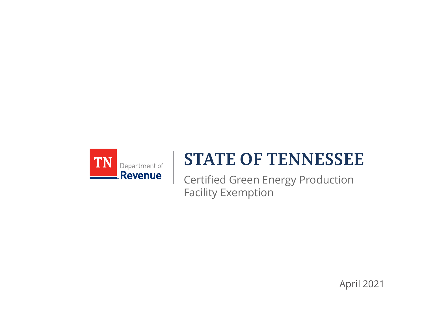

#### **STATE OF TENNESSEE**

Certified Green Energy Production Facility Exemption

April 2021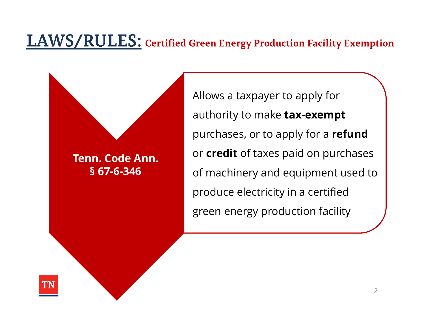Tenn. Code Ann. EXALLES: Certified Green Energy Prod<br>
Allows a taxpaye<br>
authority to mak<br>
purchases, or to<br>
or **credit** of taxe<br>
of machinery an<br>
produce electric<br>
or energy produce electric

green energy production facility  $\qquad \int$ Allows a taxpayer to apply for authority to make tax-exempt purchases, or to apply for a refund or **credit** of taxes paid on purchases of machinery and equipment used to produce electricity in a certified

and development includes the contract of the contract of the contract of the contract of the contract of the contract of the contract of the contract of the contract of the contract of the contract of the contract of the c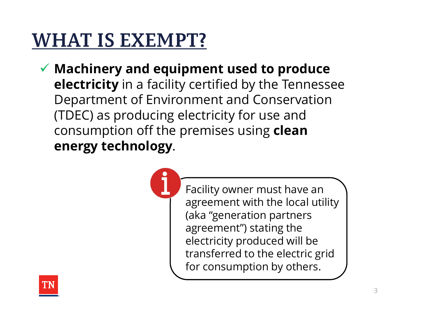# **WHAT IS EXEMPT?**

 $\checkmark$  Machinery and equipment used to produce electricity in a facility certified by the Tennessee Department of Environment and Conservation (TDEC) as producing electricity for use and consumption off the premises using clean energy technology.



Facility owner must have an agreement with the local utility (aka "generation partners agreement") stating the electricity produced will be transferred to the electric grid for consumption by others.

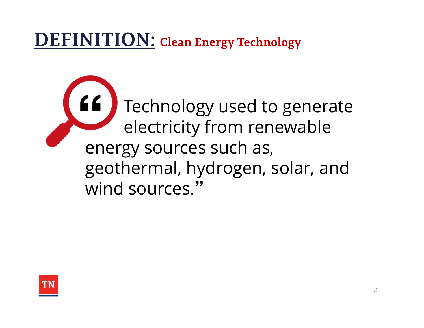#### **DEFINITION:** Clean Energy Technology

Technology used to generate electricity from renewable energy sources such as, geothermal, hydrogen, solar, and wind sources."

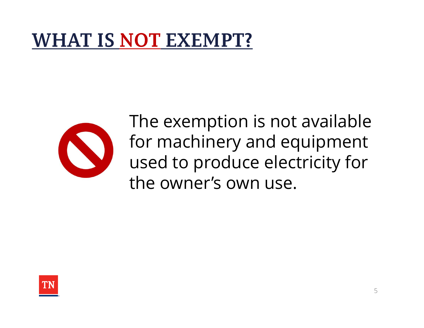#### **WHAT IS NOT EXEMPT?**



The exemption is not available for machinery and equipment used to produce electricity for the owner's own use.

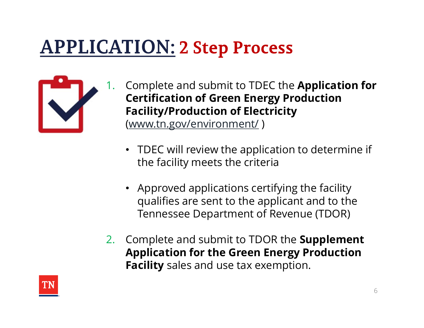#### **APPLICATION: 2 Step Process**



- Complete and submit to TDEC the Application for Certification of Green Energy Production Facility/Production of Electricity (www.tn.gov/environment/ )
	- TDEC will review the application to determine if the facility meets the criteria
	- Approved applications certifying the facility qualifies are sent to the applicant and to the Tennessee Department of Revenue (TDOR)
- 2. Complete and submit to TDOR the **Supplement** Application for the Green Energy Production Facility sales and use tax exemption.

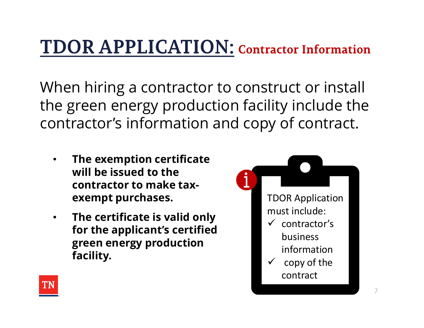#### **TDOR APPLICATION: Contractor Information**

When hiring a contractor to construct or install the green energy production facility include the contractor's information and copy of contract.

- The exemption certificate will be issued to the contractor to make taxexempt purchases.
- The certificate is valid only for the applicant's certified green energy production facility.



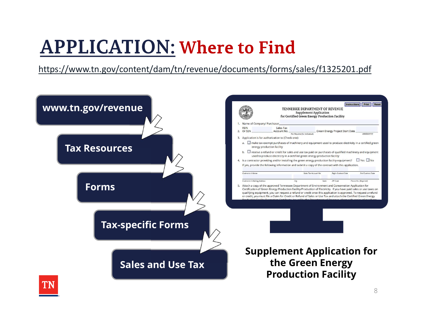# **APPLICATION: Where to Find**

https://www.tn.gov/content/dam/tn/revenue/documents/forms/sales/f1325201.pdf



8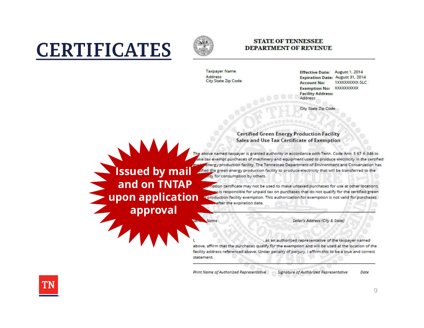### **CERTIFICATES**



#### **STATE OF TENNESSEE DEPARTMENT OF REVENUE**

**Taxpayer Name** Address City State Zip Code

Name

August 1, 2014 **Effective Date: Expiration Date: August 31, 2014** 1XXXXXXXXX-SLC **Account No:** Exemption No: XXXXXXXXX **Facility Address:** Address

City State Zip Code

**Certified Green Energy Production Facility** Sales and Use Tax Certificate of Exemption

The above named taxpayer is granted authority in accordance with Tenn. Code Ann. 9 67-6 346 to ake tax exempt purchases of machinery and equipment used to produce electricity in the certified Energy production facility. The Tennessee Department of Environment and Conservation has **ISSUED by mail and the green energy production facility to produce electricity that will be transferred to the determined to the consumption by others.** 

and on TNTAP and the transport of the used to make untaxed purchases for use at other locations. **upon application** spressponsible for dirpard tax on purchases that do not quality for the definied green and the condition of the condition of the condition of the condition of the condition of the condition of the expira

Seller's Address (City & State)

, as an authorized representative of the taxpayer named above, affirm that the purchases qualify for the exemption and will be used at the location of the facility address referenced above. Under penalty of perjury, I affirm this to be a true and correct statement.

Print Name of Authorized Representative Signature of Authorized Representative Date



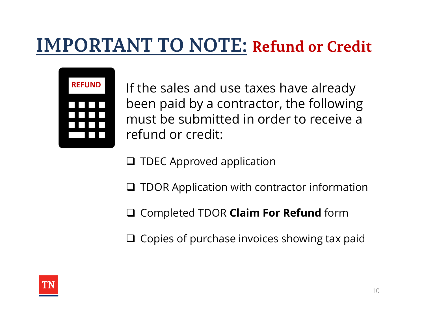#### **IMPORTANT TO NOTE: Refund or Credit**



If the sales and use taxes have already been paid by a contractor, the following must be submitted in order to receive a refund or credit:

- $\Box$  TDEC Approved application
- $\Box$  TDOR Application with contractor information
- □ Completed TDOR Claim For Refund form
- $\Box$  Copies of purchase invoices showing tax paid